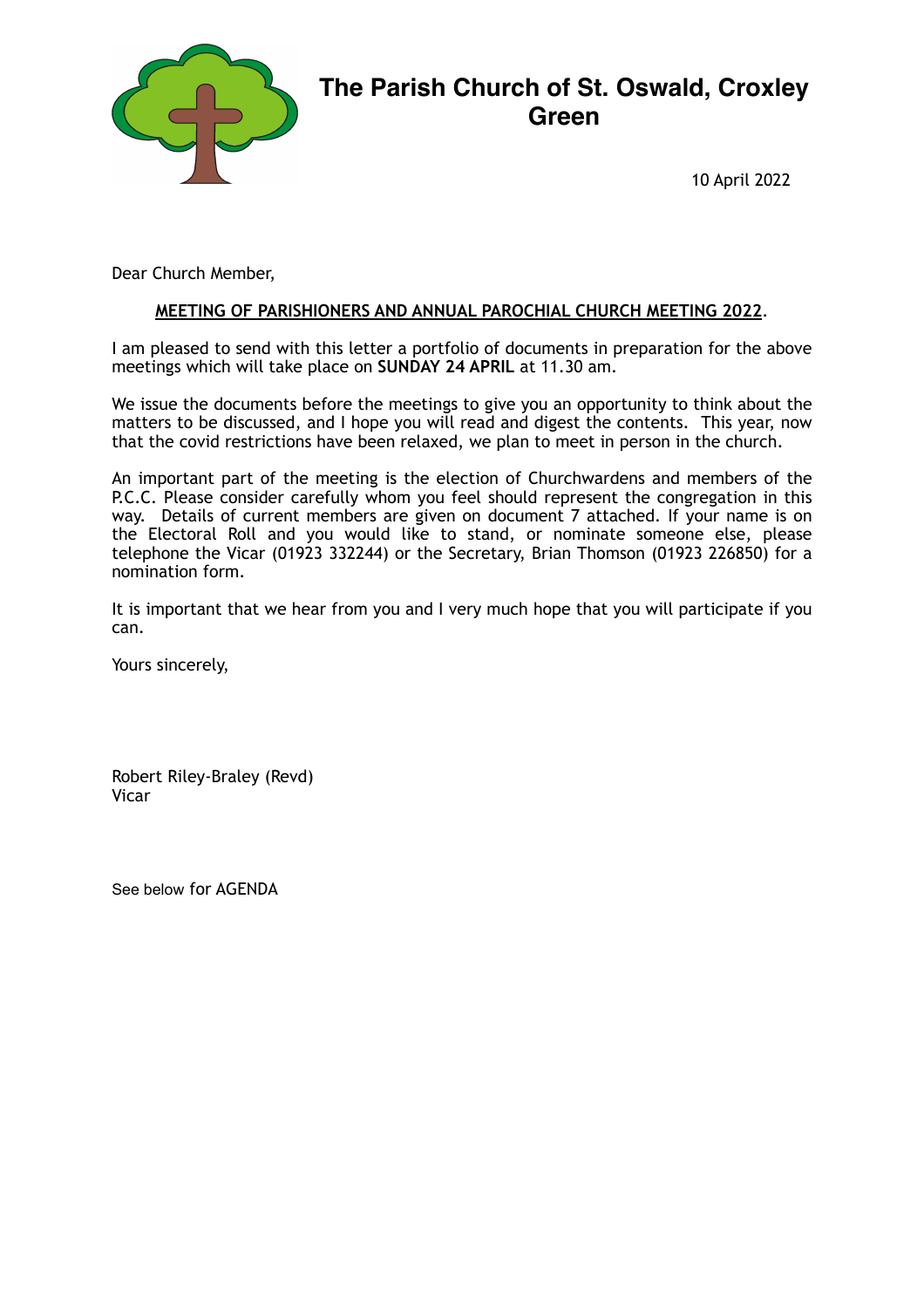

# **The Parish Church of St. Oswald, Croxley Green**

10 April 2022

Dear Church Member,

#### **MEETING OF PARISHIONERS AND ANNUAL PAROCHIAL CHURCH MEETING 2022**.

I am pleased to send with this letter a portfolio of documents in preparation for the above meetings which will take place on **SUNDAY 24 APRIL** at 11.30 am.

We issue the documents before the meetings to give you an opportunity to think about the matters to be discussed, and I hope you will read and digest the contents. This year, now that the covid restrictions have been relaxed, we plan to meet in person in the church.

An important part of the meeting is the election of Churchwardens and members of the P.C.C. Please consider carefully whom you feel should represent the congregation in this way. Details of current members are given on document 7 attached. If your name is on the Electoral Roll and you would like to stand, or nominate someone else, please telephone the Vicar (01923 332244) or the Secretary, Brian Thomson (01923 226850) for a nomination form.

It is important that we hear from you and I very much hope that you will participate if you can.

Yours sincerely,

Robert Riley-Braley (Revd) Vicar

See below for AGENDA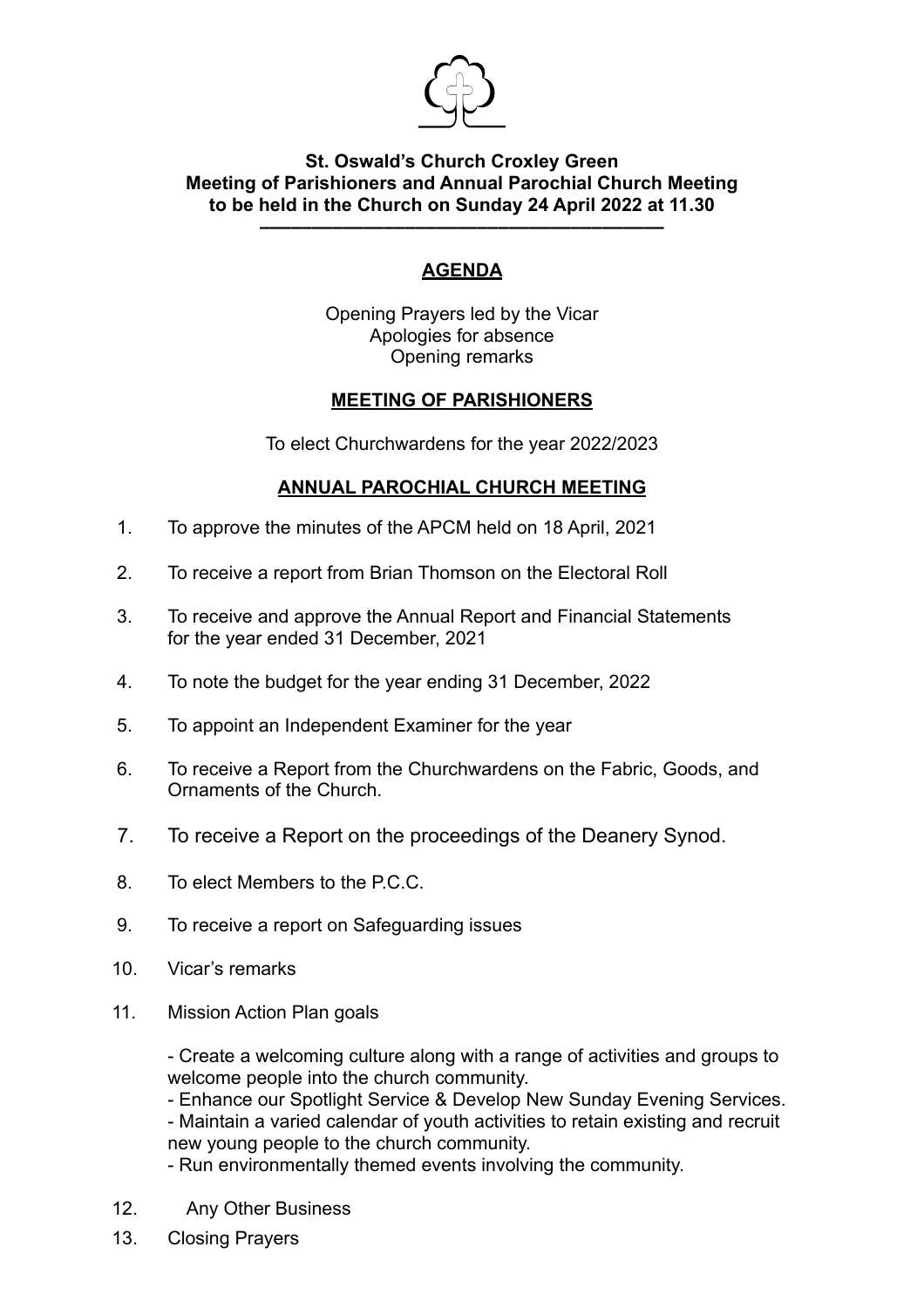

## **St. Oswald's Church Croxley Green Meeting of Parishioners and Annual Parochial Church Meeting to be held in the Church on Sunday 24 April 2022 at 11.30 –––––––––––––––––––––––––––––––––––––––**

# **AGENDA**

Opening Prayers led by the Vicar Apologies for absence Opening remarks

# **MEETING OF PARISHIONERS**

To elect Churchwardens for the year 2022/2023

# **ANNUAL PAROCHIAL CHURCH MEETING**

- 1. To approve the minutes of the APCM held on 18 April, 2021
- 2. To receive a report from Brian Thomson on the Electoral Roll
- 3. To receive and approve the Annual Report and Financial Statements for the year ended 31 December, 2021
- 4. To note the budget for the year ending 31 December, 2022
- 5. To appoint an Independent Examiner for the year
- 6. To receive a Report from the Churchwardens on the Fabric, Goods, and Ornaments of the Church.
- 7. To receive a Report on the proceedings of the Deanery Synod.
- 8. To elect Members to the P.C.C.
- 9. To receive a report on Safeguarding issues
- 10. Vicar's remarks
- 11. Mission Action Plan goals

- Create a welcoming culture along with a range of activities and groups to welcome people into the church community.

- Enhance our Spotlight Service & Develop New Sunday Evening Services.

- Maintain a varied calendar of youth activities to retain existing and recruit new young people to the church community.

- Run environmentally themed events involving the community.

- 12. Any Other Business
- 13. Closing Prayers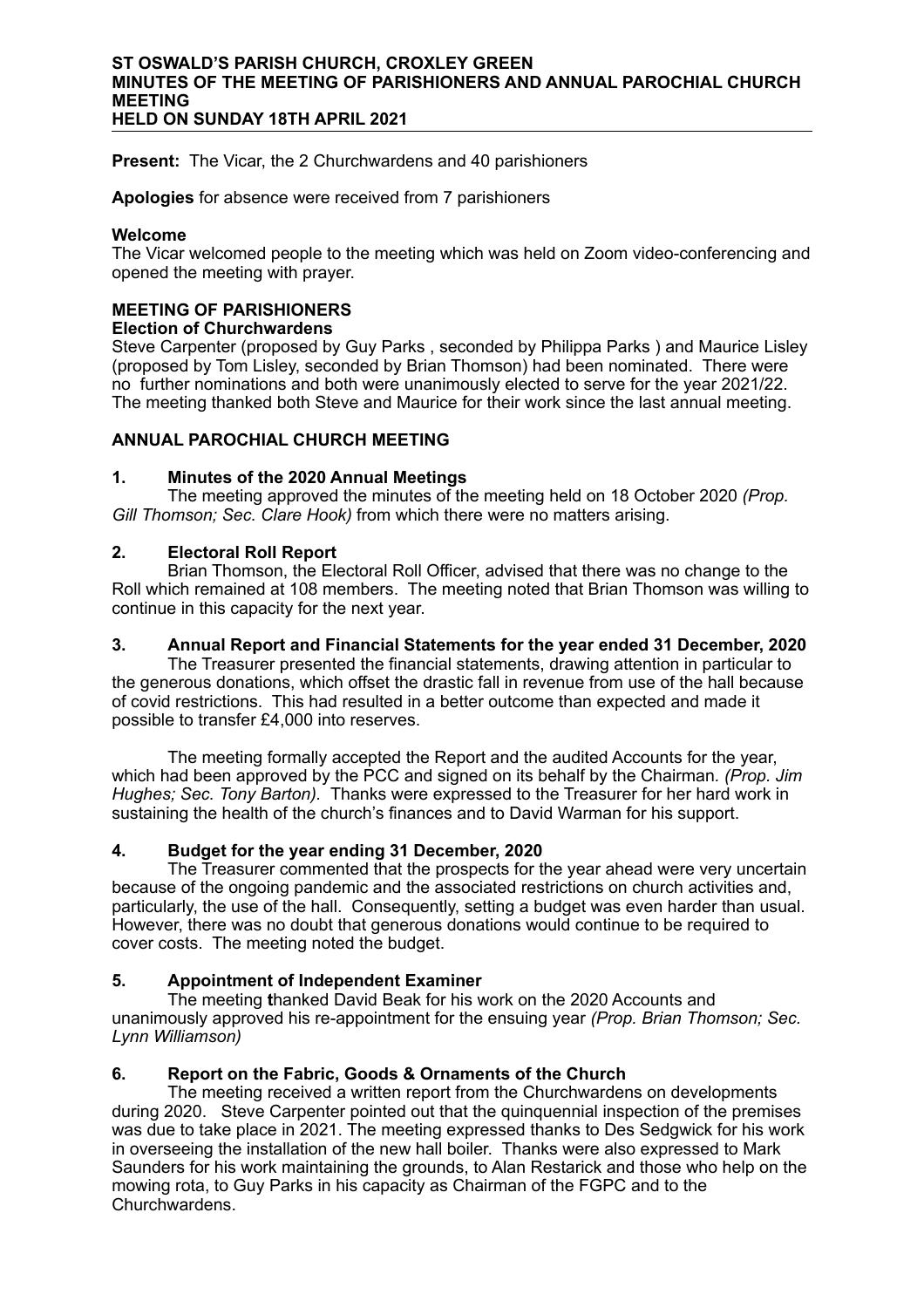#### **ST OSWALD'S PARISH CHURCH, CROXLEY GREEN MINUTES OF THE MEETING OF PARISHIONERS AND ANNUAL PAROCHIAL CHURCH MEETING HELD ON SUNDAY 18TH APRIL 2021**

**Present:** The Vicar, the 2 Churchwardens and 40 parishioners

**Apologies** for absence were received from 7 parishioners

#### **Welcome**

The Vicar welcomed people to the meeting which was held on Zoom video-conferencing and opened the meeting with prayer.

#### **MEETING OF PARISHIONERS**

#### **Election of Churchwardens**

Steve Carpenter (proposed by Guy Parks , seconded by Philippa Parks ) and Maurice Lisley (proposed by Tom Lisley, seconded by Brian Thomson) had been nominated. There were no further nominations and both were unanimously elected to serve for the year 2021/22. The meeting thanked both Steve and Maurice for their work since the last annual meeting.

#### **ANNUAL PAROCHIAL CHURCH MEETING**

#### **1. Minutes of the 2020 Annual Meetings**

The meeting approved the minutes of the meeting held on 18 October 2020 *(Prop. Gill Thomson; Sec. Clare Hook)* from which there were no matters arising.

#### **2. Electoral Roll Report**

Brian Thomson, the Electoral Roll Officer, advised that there was no change to the Roll which remained at 108 members. The meeting noted that Brian Thomson was willing to continue in this capacity for the next year.

#### **3. Annual Report and Financial Statements for the year ended 31 December, 2020**

The Treasurer presented the financial statements, drawing attention in particular to the generous donations, which offset the drastic fall in revenue from use of the hall because of covid restrictions. This had resulted in a better outcome than expected and made it possible to transfer £4,000 into reserves.

The meeting formally accepted the Report and the audited Accounts for the year, which had been approved by the PCC and signed on its behalf by the Chairman*. (Prop. Jim Hughes; Sec. Tony Barton).* Thanks were expressed to the Treasurer for her hard work in sustaining the health of the church's finances and to David Warman for his support.

#### **4. Budget for the year ending 31 December, 2020**

The Treasurer commented that the prospects for the year ahead were very uncertain because of the ongoing pandemic and the associated restrictions on church activities and, particularly, the use of the hall. Consequently, setting a budget was even harder than usual. However, there was no doubt that generous donations would continue to be required to cover costs. The meeting noted the budget.

#### **5. Appointment of Independent Examiner**

The meeting **t**hanked David Beak for his work on the 2020 Accounts and unanimously approved his re-appointment for the ensuing year *(Prop. Brian Thomson; Sec. Lynn Williamson)*

#### **6. Report on the Fabric, Goods & Ornaments of the Church**

The meeting received a written report from the Churchwardens on developments during 2020. Steve Carpenter pointed out that the quinquennial inspection of the premises was due to take place in 2021. The meeting expressed thanks to Des Sedgwick for his work in overseeing the installation of the new hall boiler. Thanks were also expressed to Mark Saunders for his work maintaining the grounds, to Alan Restarick and those who help on the mowing rota, to Guy Parks in his capacity as Chairman of the FGPC and to the Churchwardens.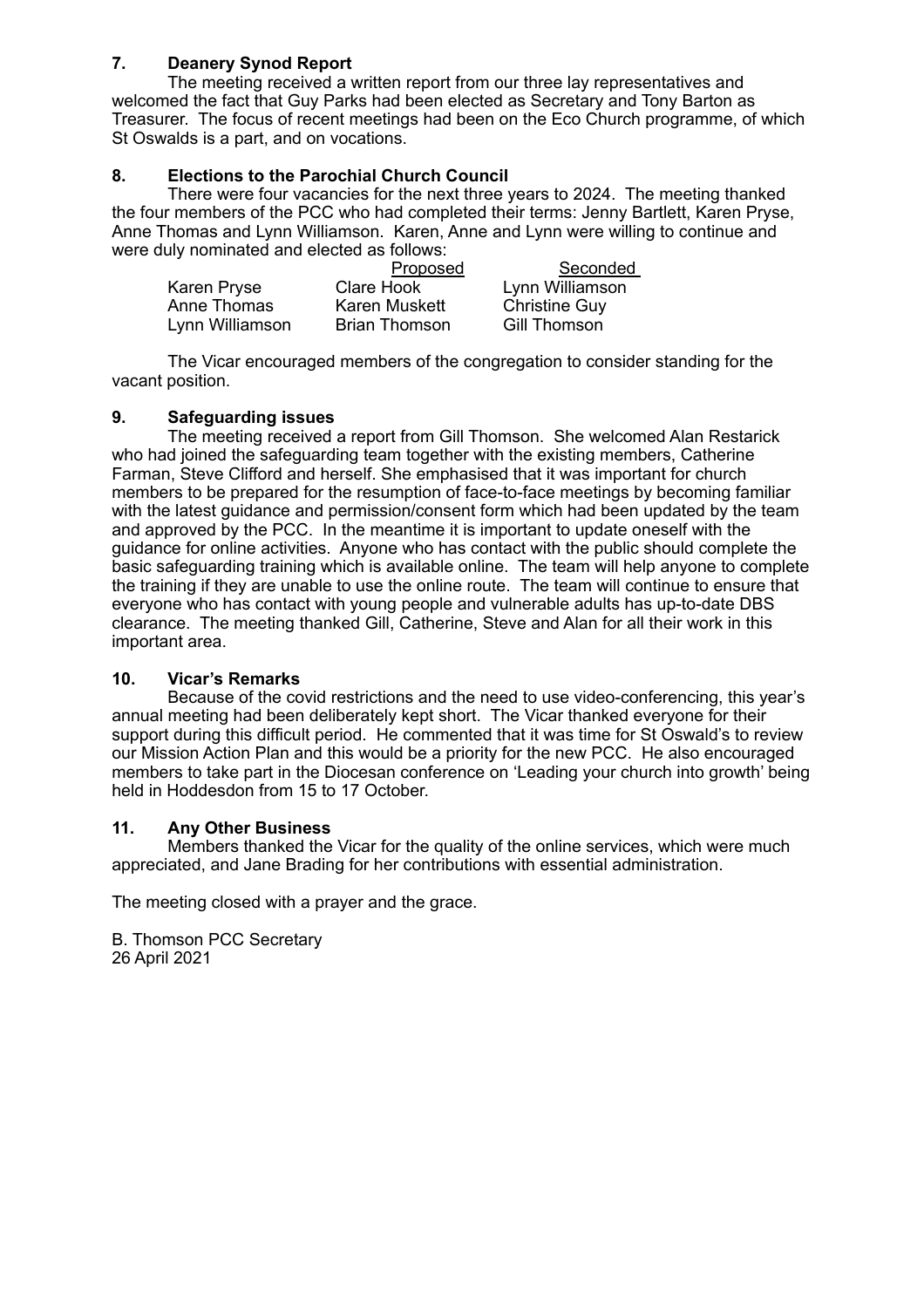## **7. Deanery Synod Report**

The meeting received a written report from our three lay representatives and welcomed the fact that Guy Parks had been elected as Secretary and Tony Barton as Treasurer. The focus of recent meetings had been on the Eco Church programme, of which St Oswalds is a part, and on vocations.

### **8. Elections to the Parochial Church Council**

There were four vacancies for the next three years to 2024. The meeting thanked the four members of the PCC who had completed their terms: Jenny Bartlett, Karen Pryse, Anne Thomas and Lynn Williamson. Karen, Anne and Lynn were willing to continue and were duly nominated and elected as follows:

|                 | Proposed             | Seconded             |
|-----------------|----------------------|----------------------|
| Karen Pryse     | Clare Hook           | Lynn Williamson      |
| Anne Thomas     | Karen Muskett        | <b>Christine Guy</b> |
| Lynn Williamson | <b>Brian Thomson</b> | Gill Thomson         |

The Vicar encouraged members of the congregation to consider standing for the vacant position.

#### **9. Safeguarding issues**

The meeting received a report from Gill Thomson. She welcomed Alan Restarick who had joined the safeguarding team together with the existing members, Catherine Farman, Steve Clifford and herself. She emphasised that it was important for church members to be prepared for the resumption of face-to-face meetings by becoming familiar with the latest guidance and permission/consent form which had been updated by the team and approved by the PCC. In the meantime it is important to update oneself with the guidance for online activities. Anyone who has contact with the public should complete the basic safeguarding training which is available online. The team will help anyone to complete the training if they are unable to use the online route. The team will continue to ensure that everyone who has contact with young people and vulnerable adults has up-to-date DBS clearance. The meeting thanked Gill, Catherine, Steve and Alan for all their work in this important area.

#### **10. Vicar's Remarks**

Because of the covid restrictions and the need to use video-conferencing, this year's annual meeting had been deliberately kept short. The Vicar thanked everyone for their support during this difficult period. He commented that it was time for St Oswald's to review our Mission Action Plan and this would be a priority for the new PCC. He also encouraged members to take part in the Diocesan conference on 'Leading your church into growth' being held in Hoddesdon from 15 to 17 October.

#### **11. Any Other Business**

Members thanked the Vicar for the quality of the online services, which were much appreciated, and Jane Brading for her contributions with essential administration.

The meeting closed with a prayer and the grace.

B. Thomson PCC Secretary 26 April 2021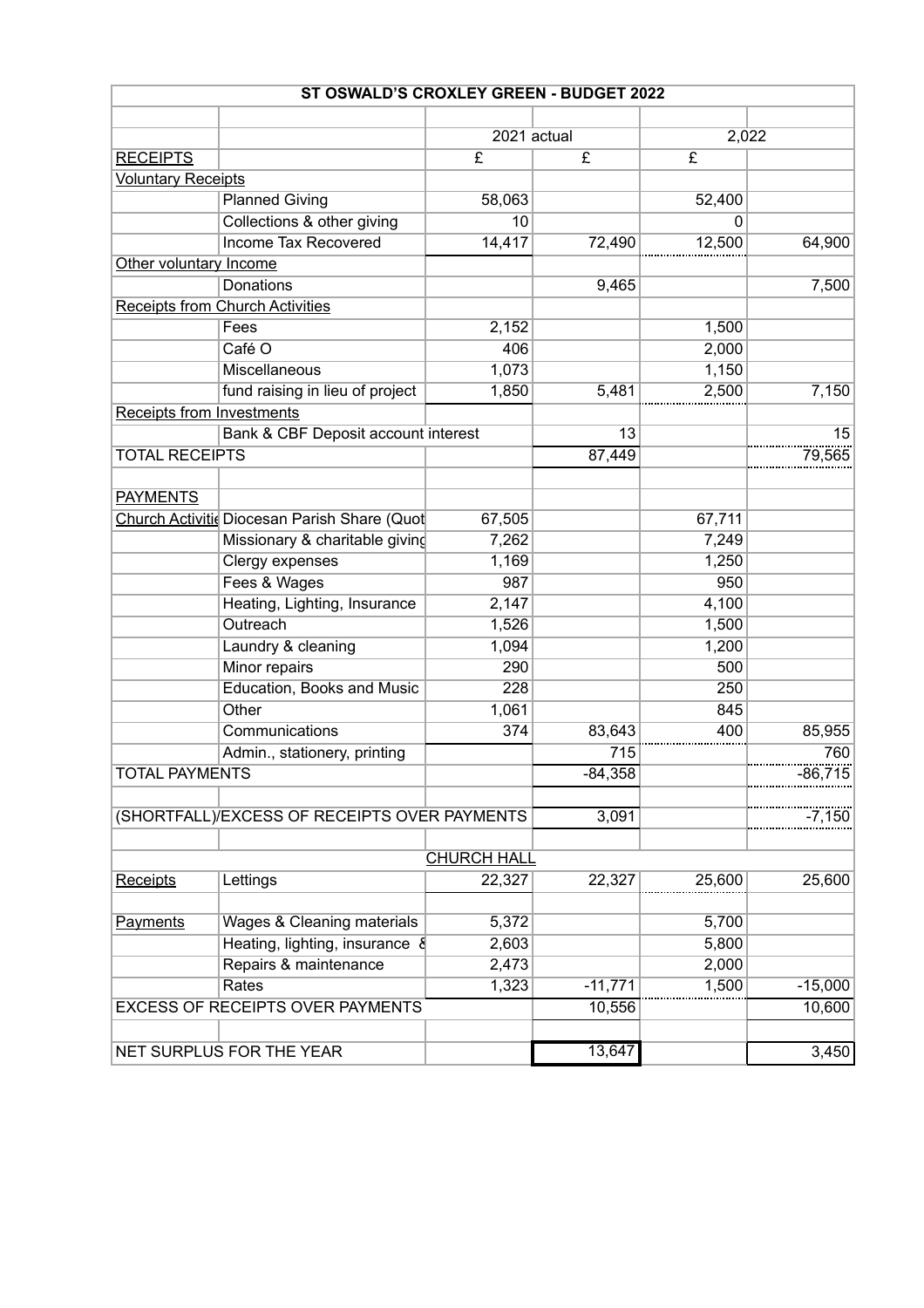| ST OSWALD'S CROXLEY GREEN - BUDGET 2022 |                                              |                       |                         |          |           |
|-----------------------------------------|----------------------------------------------|-----------------------|-------------------------|----------|-----------|
|                                         |                                              |                       |                         |          |           |
|                                         |                                              | 2021 actual           |                         | 2,022    |           |
| <b>RECEIPTS</b>                         |                                              | $\overline{\epsilon}$ | $\overline{\mathbf{f}}$ | £        |           |
| <b>Voluntary Receipts</b>               |                                              |                       |                         |          |           |
|                                         | <b>Planned Giving</b>                        | 58,063                |                         | 52,400   |           |
|                                         | Collections & other giving                   | 10                    |                         | $\Omega$ |           |
|                                         | Income Tax Recovered                         | 14,417                | 72,490                  | 12,500   | 64,900    |
| Other voluntary Income                  |                                              |                       |                         |          |           |
|                                         | <b>Donations</b>                             |                       | 9,465                   |          | 7,500     |
|                                         | <b>Receipts from Church Activities</b>       |                       |                         |          |           |
|                                         | Fees                                         | 2,152                 |                         | 1,500    |           |
|                                         | Café O                                       | 406                   |                         | 2,000    |           |
|                                         | Miscellaneous                                | 1,073                 |                         | 1,150    |           |
|                                         | fund raising in lieu of project              | 1,850                 | 5,481                   | 2,500    | 7,150     |
| <b>Receipts from Investments</b>        |                                              |                       |                         |          |           |
|                                         | Bank & CBF Deposit account interest          |                       | 13                      |          | 15        |
| <b>TOTAL RECEIPTS</b>                   |                                              |                       | 87,449                  |          | 79,565    |
|                                         |                                              |                       |                         |          |           |
| <b>PAYMENTS</b>                         |                                              |                       |                         |          |           |
|                                         | Church Activitic Diocesan Parish Share (Quot | 67,505                |                         | 67,711   |           |
|                                         | Missionary & charitable giving               | 7,262                 |                         | 7,249    |           |
|                                         | Clergy expenses                              | 1,169                 |                         | 1,250    |           |
|                                         | Fees & Wages                                 | 987                   |                         | 950      |           |
|                                         | Heating, Lighting, Insurance                 | 2,147                 |                         | 4,100    |           |
|                                         | Outreach                                     | 1,526                 |                         | 1,500    |           |
|                                         | Laundry & cleaning                           | 1,094                 |                         | 1,200    |           |
|                                         | Minor repairs                                | 290                   |                         | 500      |           |
|                                         | Education, Books and Music                   | 228                   |                         | 250      |           |
|                                         | Other                                        | 1,061                 |                         | 845      |           |
|                                         | Communications                               | 374                   | 83,643                  | 400      | 85,955    |
|                                         | Admin., stationery, printing                 |                       | 715                     |          | 760       |
| <b>TOTAL PAYMENTS</b>                   |                                              |                       | $-84,358$               |          | $-86,715$ |
|                                         |                                              |                       |                         |          |           |
|                                         | (SHORTFALL)/EXCESS OF RECEIPTS OVER PAYMENTS |                       | 3,091                   |          | -7,150    |
|                                         |                                              |                       |                         |          |           |
|                                         |                                              | <b>CHURCH HALL</b>    |                         |          |           |
| <b>Receipts</b>                         | Lettings                                     | 22,327                | 22,327                  | 25,600   | 25,600    |
|                                         |                                              |                       |                         |          |           |
| Payments                                | Wages & Cleaning materials                   | 5,372                 |                         | 5,700    |           |
|                                         | Heating, lighting, insurance &               | 2,603                 |                         | 5,800    |           |
|                                         | Repairs & maintenance                        | 2,473                 |                         | 2,000    |           |
|                                         | Rates                                        | 1,323                 | $-11,771$               | 1,500    | $-15,000$ |
|                                         | <b>EXCESS OF RECEIPTS OVER PAYMENTS</b>      |                       | 10,556                  |          | 10,600    |
|                                         |                                              |                       |                         |          |           |
|                                         | NET SURPLUS FOR THE YEAR                     |                       | 13,647                  |          | 3,450     |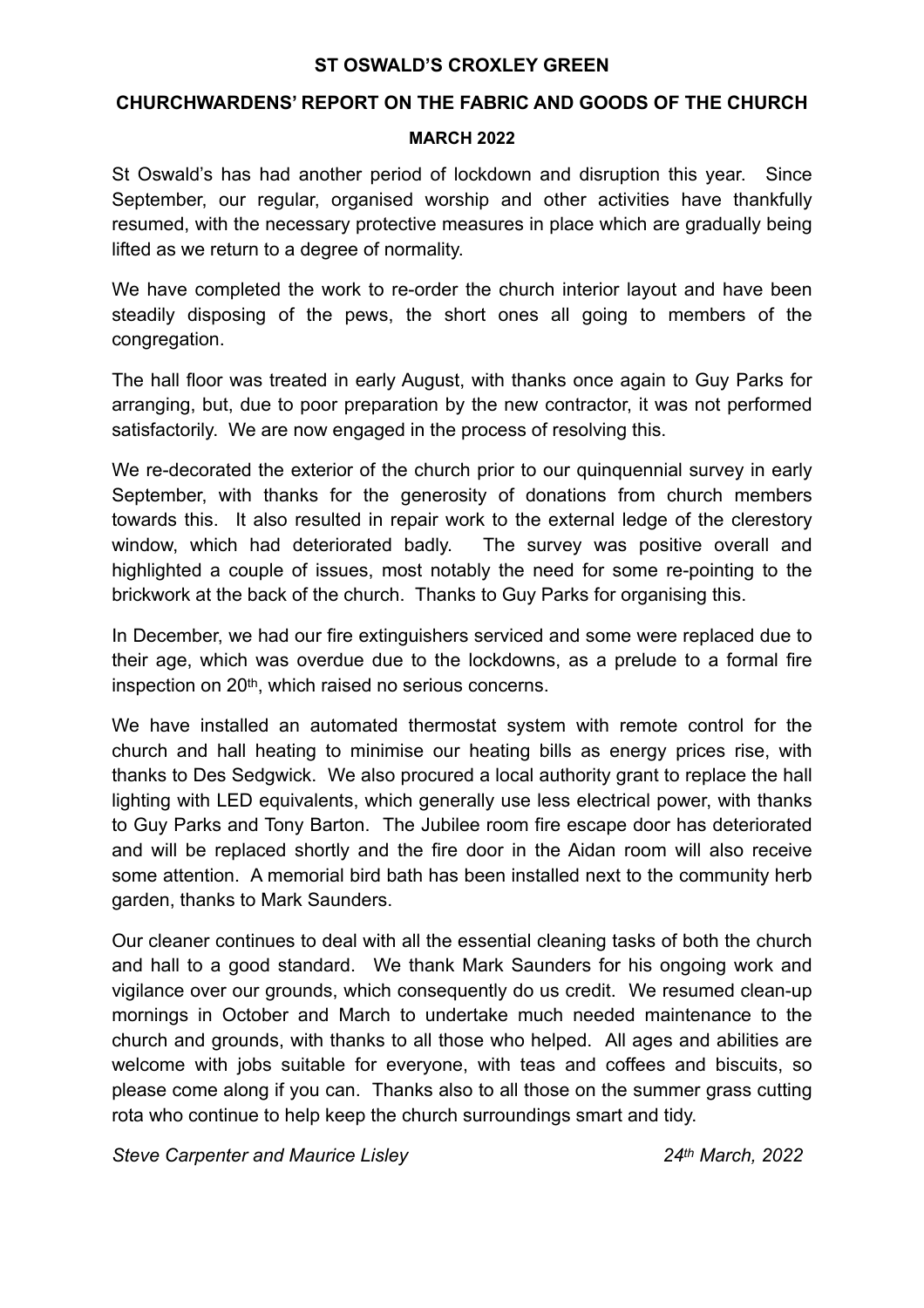## **ST OSWALD'S CROXLEY GREEN**

## **CHURCHWARDENS' REPORT ON THE FABRIC AND GOODS OF THE CHURCH**

### **MARCH 2022**

St Oswald's has had another period of lockdown and disruption this year. Since September, our regular, organised worship and other activities have thankfully resumed, with the necessary protective measures in place which are gradually being lifted as we return to a degree of normality.

We have completed the work to re-order the church interior layout and have been steadily disposing of the pews, the short ones all going to members of the congregation.

The hall floor was treated in early August, with thanks once again to Guy Parks for arranging, but, due to poor preparation by the new contractor, it was not performed satisfactorily. We are now engaged in the process of resolving this.

We re-decorated the exterior of the church prior to our quinquennial survey in early September, with thanks for the generosity of donations from church members towards this. It also resulted in repair work to the external ledge of the clerestory window, which had deteriorated badly. The survey was positive overall and highlighted a couple of issues, most notably the need for some re-pointing to the brickwork at the back of the church. Thanks to Guy Parks for organising this.

In December, we had our fire extinguishers serviced and some were replaced due to their age, which was overdue due to the lockdowns, as a prelude to a formal fire inspection on 20th, which raised no serious concerns.

We have installed an automated thermostat system with remote control for the church and hall heating to minimise our heating bills as energy prices rise, with thanks to Des Sedgwick. We also procured a local authority grant to replace the hall lighting with LED equivalents, which generally use less electrical power, with thanks to Guy Parks and Tony Barton. The Jubilee room fire escape door has deteriorated and will be replaced shortly and the fire door in the Aidan room will also receive some attention. A memorial bird bath has been installed next to the community herb garden, thanks to Mark Saunders.

Our cleaner continues to deal with all the essential cleaning tasks of both the church and hall to a good standard. We thank Mark Saunders for his ongoing work and vigilance over our grounds, which consequently do us credit. We resumed clean-up mornings in October and March to undertake much needed maintenance to the church and grounds, with thanks to all those who helped. All ages and abilities are welcome with jobs suitable for everyone, with teas and coffees and biscuits, so please come along if you can. Thanks also to all those on the summer grass cutting rota who continue to help keep the church surroundings smart and tidy.

*Steve Carpenter and Maurice Lisley 24th March, 2022*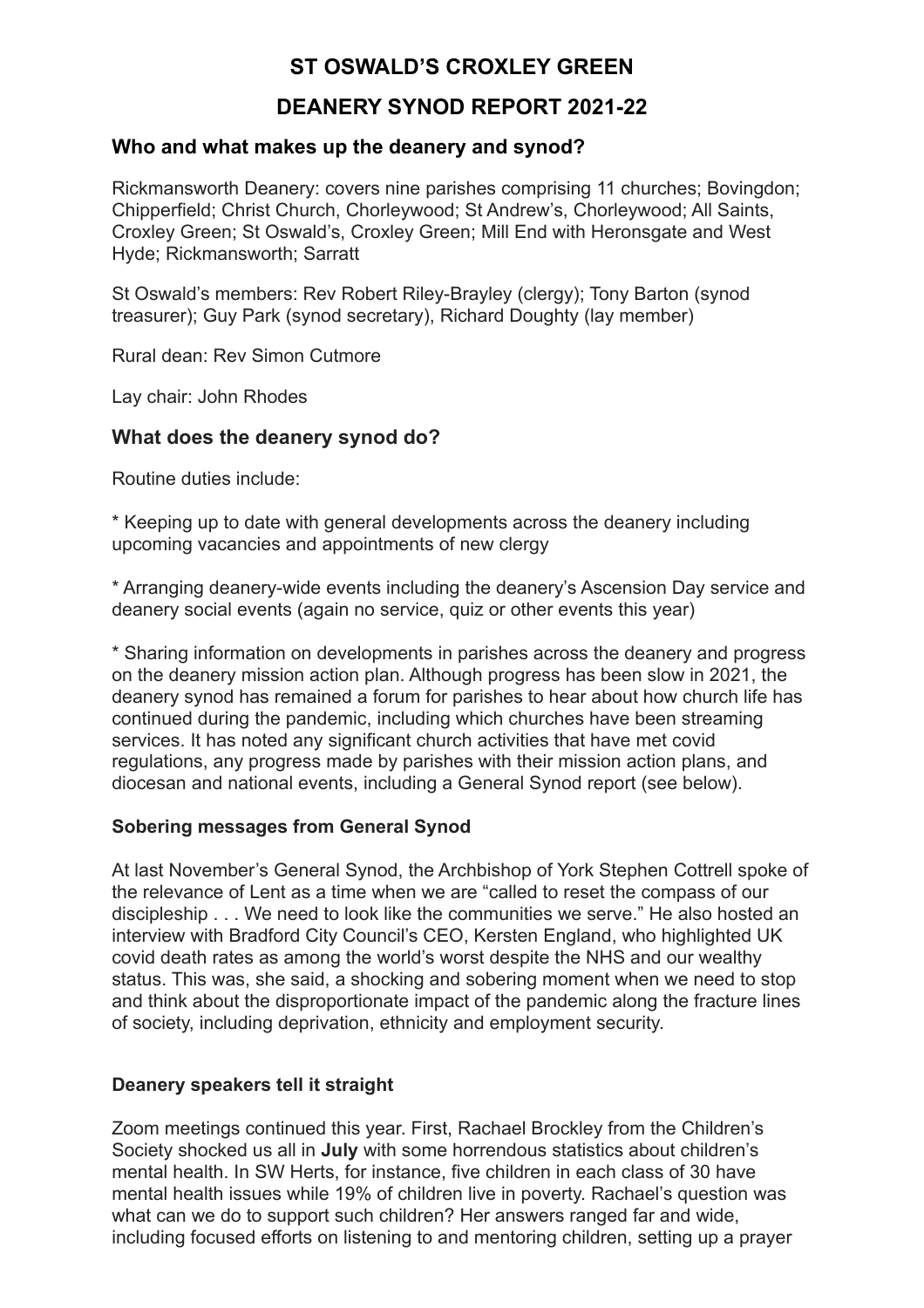# **ST OSWALD'S CROXLEY GREEN**

# **DEANERY SYNOD REPORT 2021-22**

# **Who and what makes up the deanery and synod?**

Rickmansworth Deanery: covers nine parishes comprising 11 churches; Bovingdon; Chipperfield; Christ Church, Chorleywood; St Andrew's, Chorleywood; All Saints, Croxley Green; St Oswald's, Croxley Green; Mill End with Heronsgate and West Hyde; Rickmansworth; Sarratt

St Oswald's members: Rev Robert Riley-Brayley (clergy); Tony Barton (synod treasurer); Guy Park (synod secretary), Richard Doughty (lay member)

Rural dean: Rev Simon Cutmore

Lay chair: John Rhodes

## **What does the deanery synod do?**

Routine duties include:

\* Keeping up to date with general developments across the deanery including upcoming vacancies and appointments of new clergy

\* Arranging deanery-wide events including the deanery's Ascension Day service and deanery social events (again no service, quiz or other events this year)

\* Sharing information on developments in parishes across the deanery and progress on the deanery mission action plan. Although progress has been slow in 2021, the deanery synod has remained a forum for parishes to hear about how church life has continued during the pandemic, including which churches have been streaming services. It has noted any significant church activities that have met covid regulations, any progress made by parishes with their mission action plans, and diocesan and national events, including a General Synod report (see below).

## **Sobering messages from General Synod**

At last November's General Synod, the Archbishop of York Stephen Cottrell spoke of the relevance of Lent as a time when we are "called to reset the compass of our discipleship . . . We need to look like the communities we serve." He also hosted an interview with Bradford City Council's CEO, Kersten England, who highlighted UK covid death rates as among the world's worst despite the NHS and our wealthy status. This was, she said, a shocking and sobering moment when we need to stop and think about the disproportionate impact of the pandemic along the fracture lines of society, including deprivation, ethnicity and employment security.

## **Deanery speakers tell it straight**

Zoom meetings continued this year. First, Rachael Brockley from the Children's Society shocked us all in **July** with some horrendous statistics about children's mental health. In SW Herts, for instance, five children in each class of 30 have mental health issues while 19% of children live in poverty. Rachael's question was what can we do to support such children? Her answers ranged far and wide, including focused efforts on listening to and mentoring children, setting up a prayer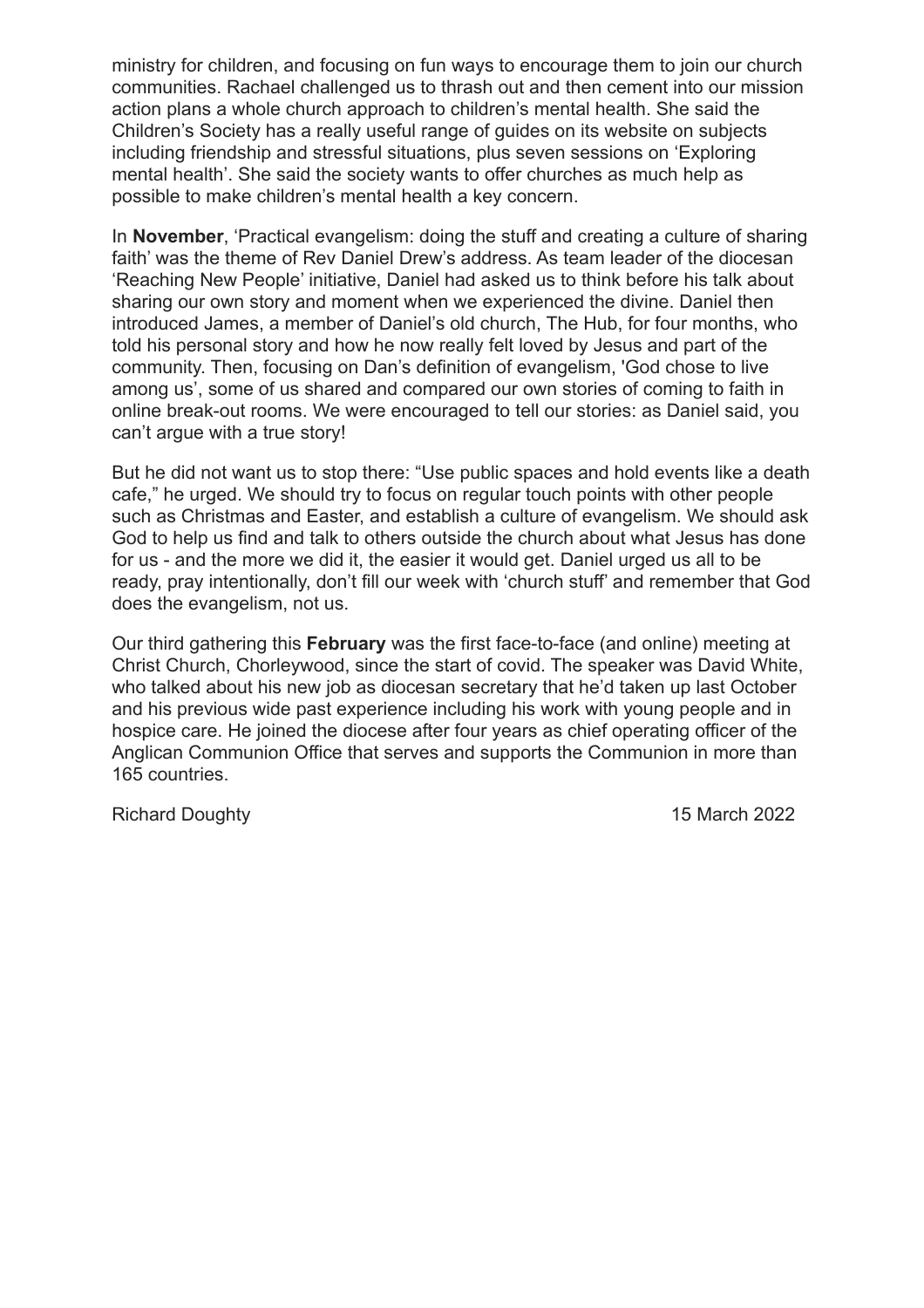ministry for children, and focusing on fun ways to encourage them to join our church communities. Rachael challenged us to thrash out and then cement into our mission action plans a whole church approach to children's mental health. She said the Children's Society has a really useful range of guides on its website on subjects including friendship and stressful situations, plus seven sessions on 'Exploring mental health'. She said the society wants to offer churches as much help as possible to make children's mental health a key concern.

In **November**, 'Practical evangelism: doing the stuff and creating a culture of sharing faith' was the theme of Rev Daniel Drew's address. As team leader of the diocesan 'Reaching New People' initiative, Daniel had asked us to think before his talk about sharing our own story and moment when we experienced the divine. Daniel then introduced James, a member of Daniel's old church, The Hub, for four months, who told his personal story and how he now really felt loved by Jesus and part of the community. Then, focusing on Dan's definition of evangelism, 'God chose to live among us', some of us shared and compared our own stories of coming to faith in online break-out rooms. We were encouraged to tell our stories: as Daniel said, you can't argue with a true story!

But he did not want us to stop there: "Use public spaces and hold events like a death cafe," he urged. We should try to focus on regular touch points with other people such as Christmas and Easter, and establish a culture of evangelism. We should ask God to help us find and talk to others outside the church about what Jesus has done for us - and the more we did it, the easier it would get. Daniel urged us all to be ready, pray intentionally, don't fill our week with 'church stuff' and remember that God does the evangelism, not us.

Our third gathering this **February** was the first face-to-face (and online) meeting at Christ Church, Chorleywood, since the start of covid. The speaker was David White, who talked about his new job as diocesan secretary that he'd taken up last October and his previous wide past experience including his work with young people and in hospice care. He joined the diocese after four years as chief operating officer of the Anglican Communion Office that serves and supports the Communion in more than 165 countries.

Richard Doughty **15 March 2022**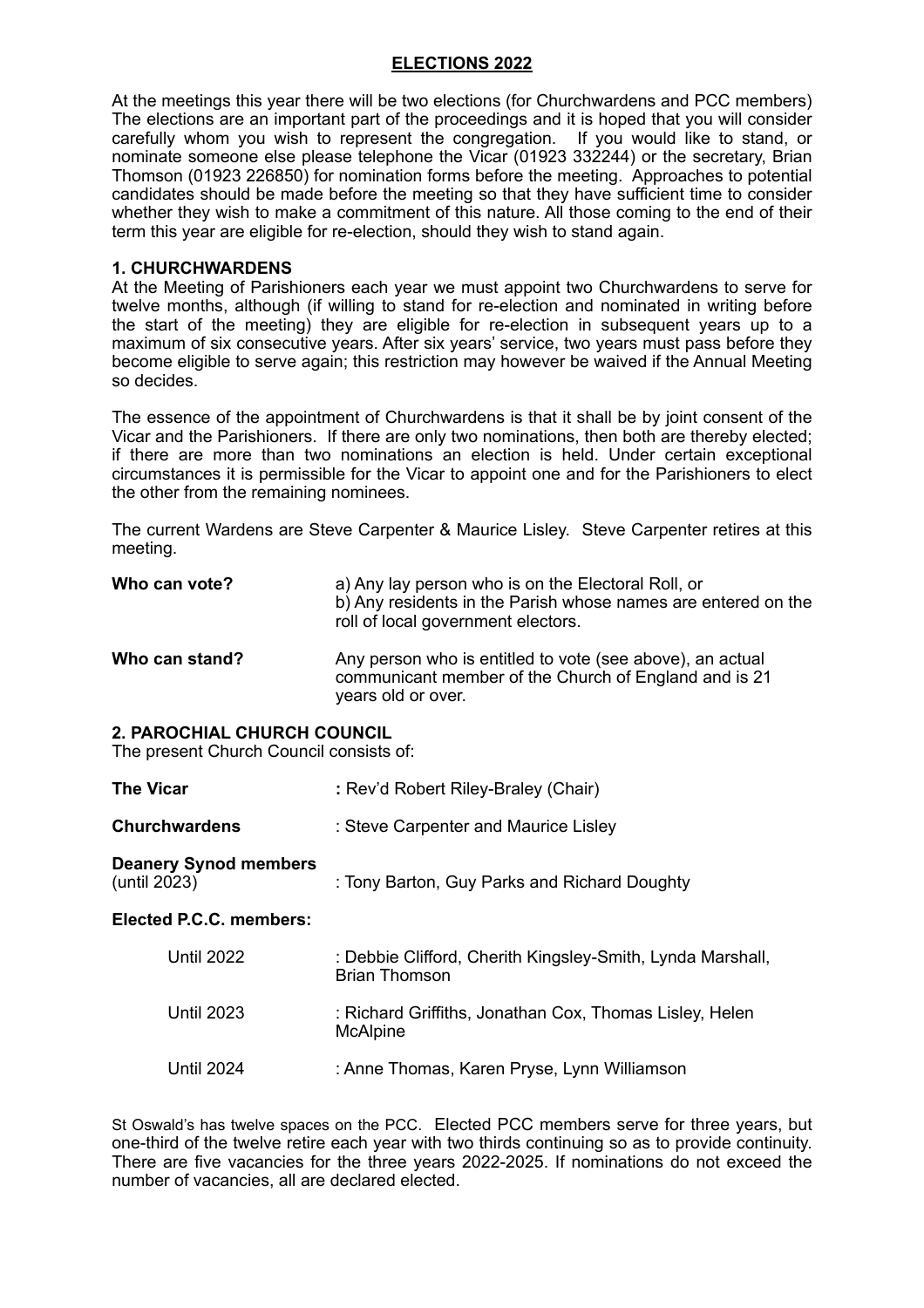#### **ELECTIONS 2022**

At the meetings this year there will be two elections (for Churchwardens and PCC members) The elections are an important part of the proceedings and it is hoped that you will consider carefully whom you wish to represent the congregation. If you would like to stand, or nominate someone else please telephone the Vicar (01923 332244) or the secretary, Brian Thomson (01923 226850) for nomination forms before the meeting. Approaches to potential candidates should be made before the meeting so that they have sufficient time to consider whether they wish to make a commitment of this nature. All those coming to the end of their term this year are eligible for re-election, should they wish to stand again.

#### **1. CHURCHWARDENS**

At the Meeting of Parishioners each year we must appoint two Churchwardens to serve for twelve months, although (if willing to stand for re-election and nominated in writing before the start of the meeting) they are eligible for re-election in subsequent years up to a maximum of six consecutive years. After six years' service, two years must pass before they become eligible to serve again; this restriction may however be waived if the Annual Meeting so decides.

The essence of the appointment of Churchwardens is that it shall be by joint consent of the Vicar and the Parishioners. If there are only two nominations, then both are thereby elected; if there are more than two nominations an election is held. Under certain exceptional circumstances it is permissible for the Vicar to appoint one and for the Parishioners to elect the other from the remaining nominees.

The current Wardens are Steve Carpenter & Maurice Lisley. Steve Carpenter retires at this meeting.

| Who can vote?                                                                 | a) Any lay person who is on the Electoral Roll, or<br>b) Any residents in the Parish whose names are entered on the<br>roll of local government electors. |  |  |
|-------------------------------------------------------------------------------|-----------------------------------------------------------------------------------------------------------------------------------------------------------|--|--|
| Who can stand?                                                                | Any person who is entitled to vote (see above), an actual<br>communicant member of the Church of England and is 21<br>years old or over.                  |  |  |
| <b>2. PAROCHIAL CHURCH COUNCIL</b><br>The present Church Council consists of: |                                                                                                                                                           |  |  |
| <b>The Vicar</b>                                                              | : Rev'd Robert Riley-Braley (Chair)                                                                                                                       |  |  |
| <b>Churchwardens</b>                                                          | : Steve Carpenter and Maurice Lisley                                                                                                                      |  |  |
| <b>Deanery Synod members</b><br>(until 2023)                                  | : Tony Barton, Guy Parks and Richard Doughty                                                                                                              |  |  |
| Elected P.C.C. members:                                                       |                                                                                                                                                           |  |  |
| <b>Until 2022</b>                                                             | : Debbie Clifford, Cherith Kingsley-Smith, Lynda Marshall,<br><b>Brian Thomson</b>                                                                        |  |  |
| <b>Until 2023</b>                                                             | : Richard Griffiths, Jonathan Cox, Thomas Lisley, Helen<br><b>McAlpine</b>                                                                                |  |  |
| <b>Until 2024</b>                                                             | : Anne Thomas, Karen Pryse, Lynn Williamson                                                                                                               |  |  |

St Oswald's has twelve spaces on the PCC. Elected PCC members serve for three years, but one-third of the twelve retire each year with two thirds continuing so as to provide continuity. There are five vacancies for the three years 2022-2025. If nominations do not exceed the number of vacancies, all are declared elected.